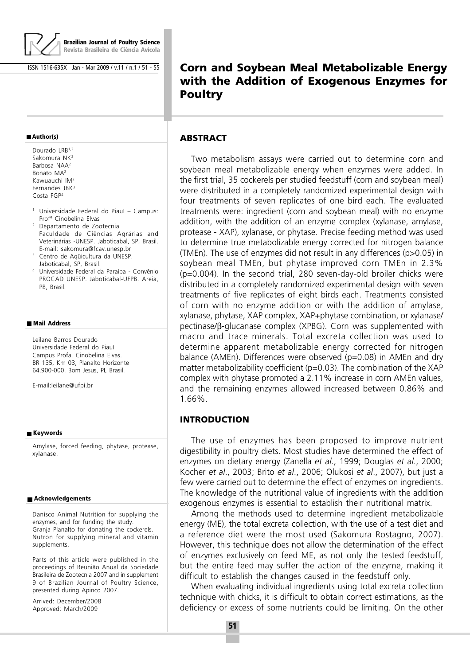

**Brazilian Journal of Poultry Science Revista Brasileira de Ciência Avícola**

ISSN 1516-635X Jan - Mar 2009 / v.11 / n.1 / 51 - 55

#### **Author(s)**

Dourado LRB<sup>1,2</sup> Sakomura NK<sup>2</sup> Rarhosa NAA<sup>2</sup> Bonato MA<sup>2</sup> Kawuauchi IM<sup>2</sup> Fernandes JBK<sup>3</sup> Costa FGP<sup>4</sup>

- <sup>1</sup> Universidade Federal do Piauí Campus: Profª Cinobelina Elvas
- <sup>2</sup> Departamento de Zootecnia Faculdade de Ciências Agrárias and Veterinárias -UNESP. Jaboticabal, SP, Brasil. E-mail: sakomura@fcav.unesp.br
- <sup>3</sup> Centro de Aqüicultura da UNESP. Jaboticabal, SP, Brasil.
- <sup>4</sup> Universidade Federal da Paraíba Convênio PROCAD UNESP. Jaboticabal-UFPB. Areia, PB, Brasil.

#### **Mail Address**

Leilane Barros Dourado Universidade Federal do Piauí Campus Profa. Cinobelina Elvas. BR 135, Km 03, Planalto Horizonte 64.900-000. Bom Jesus, PI, Brasil.

E-mail:leilane@ufpi.br

#### **Keywords**

Amylase, forced feeding, phytase, protease, xylanase.

#### **Acknowledgements**

Danisco Animal Nutrition for supplying the enzymes, and for funding the study. Granja Planalto for donating the cockerels. Nutron for supplying mineral and vitamin supplements.

Parts of this article were published in the proceedings of Reunião Anual da Sociedade Brasileira de Zootecnia 2007 and in supplement 9 of Brazilian Journal of Poultry Science, presented during Apinco 2007.

Arrived: December/2008 Approved: March/2009

# **Corn and Soybean Meal Metabolizable Energy with the Addition of Exogenous Enzymes for Poultry**

#### **ABSTRACT**

Two metabolism assays were carried out to determine corn and soybean meal metabolizable energy when enzymes were added. In the first trial, 35 cockerels per studied feedstuff (corn and soybean meal) were distributed in a completely randomized experimental design with four treatments of seven replicates of one bird each. The evaluated treatments were: ingredient (corn and soybean meal) with no enzyme addition, with the addition of an enzyme complex (xylanase, amylase, protease - XAP), xylanase, or phytase. Precise feeding method was used to determine true metabolizable energy corrected for nitrogen balance (TMEn). The use of enzymes did not result in any differences (p>0.05) in soybean meal TMEn, but phytase improved corn TMEn in 2.3% (p=0.004). In the second trial, 280 seven-day-old broiler chicks were distributed in a completely randomized experimental design with seven treatments of five replicates of eight birds each. Treatments consisted of corn with no enzyme addition or with the addition of amylase, xylanase, phytase, XAP complex, XAP+phytase combination, or xylanase/ pectinase/β-glucanase complex (XPBG). Corn was supplemented with macro and trace minerals. Total excreta collection was used to determine apparent metabolizable energy corrected for nitrogen balance (AMEn). Differences were observed (p=0.08) in AMEn and dry matter metabolizability coefficient (p=0.03). The combination of the XAP complex with phytase promoted a 2.11% increase in corn AMEn values, and the remaining enzymes allowed increased between 0.86% and 1.66%.

#### **INTRODUCTION**

The use of enzymes has been proposed to improve nutrient digestibility in poultry diets. Most studies have determined the effect of enzymes on dietary energy (Zanella et al., 1999; Douglas et al., 2000; Kocher et al., 2003; Brito et al., 2006; Olukosi et al., 2007), but just a few were carried out to determine the effect of enzymes on ingredients. The knowledge of the nutritional value of ingredients with the addition exogenous enzymes is essential to establish their nutritional matrix.

Among the methods used to determine ingredient metabolizable energy (ME), the total excreta collection, with the use of a test diet and a reference diet were the most used (Sakomura Rostagno, 2007). However, this technique does not allow the determination of the effect of enzymes exclusively on feed ME, as not only the tested feedstuff, but the entire feed may suffer the action of the enzyme, making it difficult to establish the changes caused in the feedstuff only.

When evaluating individual ingredients using total excreta collection technique with chicks, it is difficult to obtain correct estimations, as the deficiency or excess of some nutrients could be limiting. On the other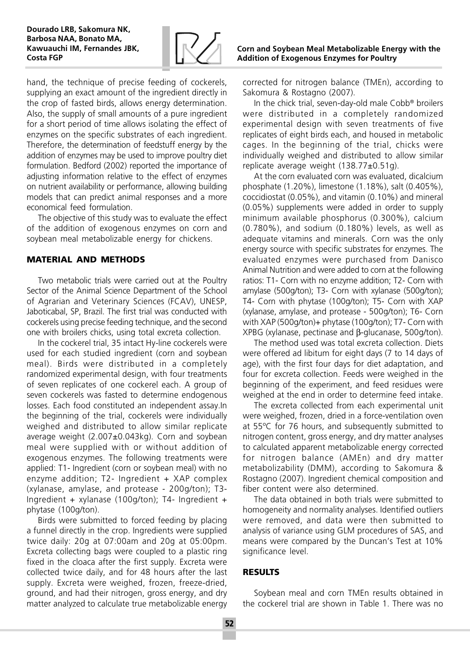

hand, the technique of precise feeding of cockerels, supplying an exact amount of the ingredient directly in the crop of fasted birds, allows energy determination. Also, the supply of small amounts of a pure ingredient for a short period of time allows isolating the effect of enzymes on the specific substrates of each ingredient. Therefore, the determination of feedstuff energy by the addition of enzymes may be used to improve poultry diet formulation. Bedford (2002) reported the importance of adjusting information relative to the effect of enzymes on nutrient availability or performance, allowing building models that can predict animal responses and a more economical feed formulation.

The objective of this study was to evaluate the effect of the addition of exogenous enzymes on corn and soybean meal metabolizable energy for chickens.

### **MATERIAL AND METHODS**

Two metabolic trials were carried out at the Poultry Sector of the Animal Science Department of the School of Agrarian and Veterinary Sciences (FCAV), UNESP, Jaboticabal, SP, Brazil. The first trial was conducted with cockerels using precise feeding technique, and the second one with broilers chicks, using total excreta collection.

In the cockerel trial, 35 intact Hy-line cockerels were used for each studied ingredient (corn and soybean meal). Birds were distributed in a completely randomized experimental design, with four treatments of seven replicates of one cockerel each. A group of seven cockerels was fasted to determine endogenous losses. Each food constituted an independent assay.In the beginning of the trial, cockerels were individually weighed and distributed to allow similar replicate average weight (2.007±0.043kg). Corn and soybean meal were supplied with or without addition of exogenous enzymes. The following treatments were applied: T1- Ingredient (corn or soybean meal) with no enzyme addition; T2- Ingredient + XAP complex (xylanase, amylase, and protease - 200g/ton); T3- Ingredient + xylanase (100g/ton); T4- Ingredient + phytase (100g/ton).

Birds were submitted to forced feeding by placing a funnel directly in the crop. Ingredients were supplied twice daily: 20g at 07:00am and 20g at 05:00pm. Excreta collecting bags were coupled to a plastic ring fixed in the cloaca after the first supply. Excreta were collected twice daily, and for 48 hours after the last supply. Excreta were weighed, frozen, freeze-dried, ground, and had their nitrogen, gross energy, and dry matter analyzed to calculate true metabolizable energy corrected for nitrogen balance (TMEn), according to Sakomura & Rostagno (2007).

In the chick trial, seven-day-old male Cobb® broilers were distributed in a completely randomized experimental design with seven treatments of five replicates of eight birds each, and housed in metabolic cages. In the beginning of the trial, chicks were individually weighed and distributed to allow similar replicate average weight (138.77±0.51g).

At the corn evaluated corn was evaluated, dicalcium phosphate (1.20%), limestone (1.18%), salt (0.405%), coccidiostat (0.05%), and vitamin (0.10%) and mineral (0.05%) supplements were added in order to supply minimum available phosphorus (0.300%), calcium (0.780%), and sodium (0.180%) levels, as well as adequate vitamins and minerals. Corn was the only energy source with specific substrates for enzymes. The evaluated enzymes were purchased from Danisco Animal Nutrition and were added to corn at the following ratios: T1- Corn with no enzyme addition; T2- Corn with amylase (500g/ton); T3- Corn with xylanase (500g/ton); T4- Corn with phytase (100g/ton); T5- Corn with XAP (xylanase, amylase, and protease - 500g/ton); T6- Corn with XAP (500g/ton)+ phytase (100g/ton); T7- Corn with XPBG (xylanase, pectinase and β-glucanase, 500g/ton).

The method used was total excreta collection. Diets were offered ad libitum for eight days (7 to 14 days of age), with the first four days for diet adaptation, and four for excreta collection. Feeds were weighed in the beginning of the experiment, and feed residues were weighed at the end in order to determine feed intake.

The excreta collected from each experimental unit were weighed, frozen, dried in a force-ventilation oven at 55ºC for 76 hours, and subsequently submitted to nitrogen content, gross energy, and dry matter analyses to calculated apparent metabolizable energy corrected for nitrogen balance (AMEn) and dry matter metabolizability (DMM), according to Sakomura & Rostagno (2007). Ingredient chemical composition and fiber content were also determined.

The data obtained in both trials were submitted to homogeneity and normality analyses. Identified outliers were removed, and data were then submitted to analysis of variance using GLM procedures of SAS, and means were compared by the Duncan's Test at 10% significance level.

# **RESULTS**

Soybean meal and corn TMEn results obtained in the cockerel trial are shown in Table 1. There was no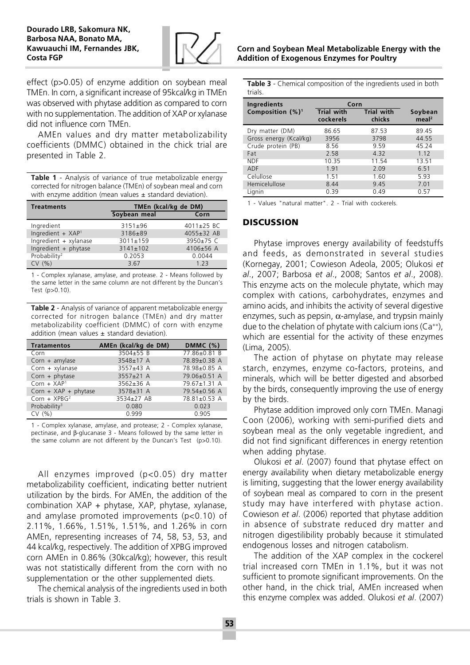

effect (p>0.05) of enzyme addition on soybean meal TMEn. In corn, a significant increase of 95kcal/kg in TMEn was observed with phytase addition as compared to corn with no supplementation. The addition of XAP or xylanase did not influence corn TMEn.

AMEn values and dry matter metabolizability coefficients (DMMC) obtained in the chick trial are presented in Table 2.

Table 1 - Analysis of variance of true metabolizable energy corrected for nitrogen balance (TMEn) of soybean meal and corn with enzyme addition (mean values  $\pm$  standard deviation).

| <b>Treatments</b>        | TMEn (kcal/kg de DM) |                 |  |
|--------------------------|----------------------|-----------------|--|
|                          | Soybean meal         | Corn            |  |
| Ingredient               | $3151 \pm 96$        | 4011±25 BC      |  |
| Ingredient + XAP1        | 3186±89              | $4055 + 32$ AB  |  |
| Ingredient + xylanase    | $3011 \pm 159$       | $3950+75$ C     |  |
| Ingredient $+$ phytase   | $3141 \pm 102$       | $4106 \pm 56$ A |  |
| Probability <sup>2</sup> | 0.2053               | 0.0044          |  |
| CV(% )                   | 3.67                 | 1 2 3           |  |

1 - Complex xylanase, amylase, and protease. 2 - Means followed by the same letter in the same column are not different by the Duncan's Test (p>0.10).

Table 2 - Analysis of variance of apparent metabolizable energy corrected for nitrogen balance (TMEn) and dry matter metabolizability coefficient (DMMC) of corn with enzyme addition (mean values  $\pm$  standard deviation).

| <b>Tratamentos</b>       | AMEn (kcal/kg de DM) | <b>DMMC (%)</b>    |
|--------------------------|----------------------|--------------------|
| Corn                     | $3504 + 55B$         | $77.86 \pm 0.81$ B |
| $Corn + amylase$         | 3548±17 A            | 78.89±0.38 A       |
| $Corn + xylanase$        | 3557±43 A            | 78.98±0.85 A       |
| $Corn + phytase$         | $3557 \pm 21$ A      | 79.06±0.51 A       |
| $Corn + XAP1$            | $3562 + 36$ A        | 79.67±1.31 A       |
| Corn + $XAP$ + phytase   | 3578±31 A            | 79.54±0.56 A       |
| $Corn + XPBG2$           | 3534±27 AB           | 78.81±0.53 A       |
| Probability <sup>3</sup> | 0.080                | 0.023              |
| CV(% )                   | 0.999                | 0.905              |

1 - Complex xylanase, amylase, and protease; 2 - Complex xylanase, pectinase, and β-glucanase 3 - Means followed by the same letter in the same column are not different by the Duncan's Test (p>0.10).

All enzymes improved (p<0.05) dry matter metabolizability coefficient, indicating better nutrient utilization by the birds. For AMEn, the addition of the combination XAP + phytase, XAP, phytase, xylanase, and amylase promoted improvements (p<0.10) of 2.11%, 1.66%, 1.51%, 1.51%, and 1.26% in corn AMEn, representing increases of 74, 58, 53, 53, and 44 kcal/kg, respectively. The addition of XPBG improved corn AMEn in 0.86% (30kcal/kg); however, this result was not statistically different from the corn with no supplementation or the other supplemented diets.

The chemical analysis of the ingredients used in both trials is shown in Table 3.

Table 3 - Chemical composition of the ingredients used in both trials.

| Ingredients            | Corn                           |                             |                              |
|------------------------|--------------------------------|-----------------------------|------------------------------|
| Composition $(%)1$     | <b>Trial with</b><br>cockerels | <b>Trial with</b><br>chicks | Soybean<br>meal <sup>2</sup> |
| Dry matter (DM)        | 86.65                          | 87.53                       | 89.45                        |
| Gross energy (Kcal/kg) | 3956                           | 3798                        | 44.55                        |
| Crude protein (PB)     | 8.56                           | 9.59                        | 45.24                        |
| Fat                    | 2.58                           | 4.32                        | 1.12                         |
| <b>NDF</b>             | 10.35                          | 11.54                       | 13.51                        |
| <b>ADF</b>             | 1.91                           | 2.09                        | 6.51                         |
| Celullose              | 1.51                           | 1.60                        | 5.93                         |
| Hemicelullose          | 8.44                           | 9.45                        | 7.01                         |
| Lianin                 | 0.39                           | 0.49                        | 0.57                         |

1 - Values "natural matter". 2 - Trial with cockerels.

## **DISCUSSION**

Phytase improves energy availability of feedstuffs and feeds, as demonstrated in several studies (Kornegay, 2001; Cowieson Adeola, 2005; Olukosi et al., 2007; Barbosa et al., 2008; Santos et al., 2008). This enzyme acts on the molecule phytate, which may complex with cations, carbohydrates, enzymes and amino acids, and inhibits the activity of several digestive enzymes, such as pepsin,  $\alpha$ -amylase, and trypsin mainly due to the chelation of phytate with calcium ions  $(Ca^{++})$ , which are essential for the activity of these enzymes (Lima, 2005).

The action of phytase on phytate may release starch, enzymes, enzyme co-factors, proteins, and minerals, which will be better digested and absorbed by the birds, consequently improving the use of energy by the birds.

Phytase addition improved only corn TMEn. Managi Coon (2006), working with semi-purified diets and soybean meal as the only vegetable ingredient, and did not find significant differences in energy retention when adding phytase.

Olukosi et al. (2007) found that phytase effect on energy availability when dietary metabolizable energy is limiting, suggesting that the lower energy availability of soybean meal as compared to corn in the present study may have interfered with phytase action. Cowieson et al. (2006) reported that phytase addition in absence of substrate reduced dry matter and nitrogen digestilibility probably because it stimulated endogenous losses and nitrogen catabolism.

The addition of the XAP complex in the cockerel trial increased corn TMEn in 1.1%, but it was not sufficient to promote significant improvements. On the other hand, in the chick trial, AMEn increased when this enzyme complex was added. Olukosi et al. (2007)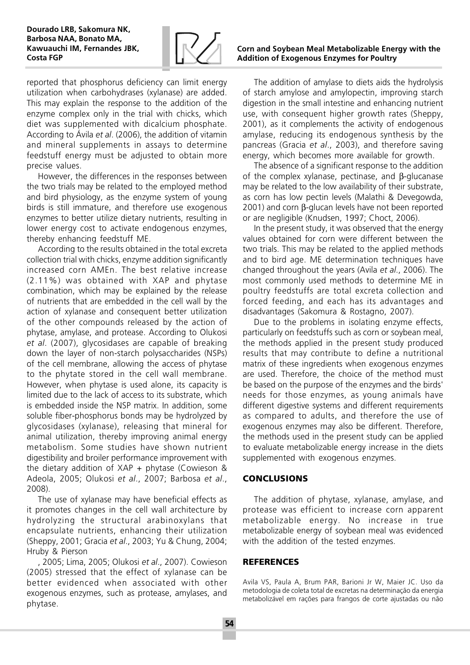

reported that phosphorus deficiency can limit energy utilization when carbohydrases (xylanase) are added. This may explain the response to the addition of the enzyme complex only in the trial with chicks, which diet was supplemented with dicalcium phosphate. According to Ávila et al. (2006), the addition of vitamin and mineral supplements in assays to determine feedstuff energy must be adjusted to obtain more precise values.

However, the differences in the responses between the two trials may be related to the employed method and bird physiology, as the enzyme system of young birds is still immature, and therefore use exogenous enzymes to better utilize dietary nutrients, resulting in lower energy cost to activate endogenous enzymes, thereby enhancing feedstuff ME.

According to the results obtained in the total excreta collection trial with chicks, enzyme addition significantly increased corn AMEn. The best relative increase (2.11%) was obtained with XAP and phytase combination, which may be explained by the release of nutrients that are embedded in the cell wall by the action of xylanase and consequent better utilization of the other compounds released by the action of phytase, amylase, and protease. According to Olukosi et al. (2007), glycosidases are capable of breaking down the layer of non-starch polysaccharides (NSPs) of the cell membrane, allowing the access of phytase to the phytate stored in the cell wall membrane. However, when phytase is used alone, its capacity is limited due to the lack of access to its substrate, which is embedded inside the NSP matrix. In addition, some soluble fiber-phosphorus bonds may be hydrolyzed by glycosidases (xylanase), releasing that mineral for animal utilization, thereby improving animal energy metabolism. Some studies have shown nutrient digestibility and broiler performance improvement with the dietary addition of  $XAP + phytase$  (Cowieson & Adeola, 2005; Olukosi et al., 2007; Barbosa et al., 2008).

The use of xylanase may have beneficial effects as it promotes changes in the cell wall architecture by hydrolyzing the structural arabinoxylans that encapsulate nutrients, enhancing their utilization (Sheppy, 2001; Gracia et al., 2003; Yu & Chung, 2004; Hruby & Pierson

, 2005; Lima, 2005; Olukosi et al., 2007). Cowieson (2005) stressed that the effect of xylanase can be better evidenced when associated with other exogenous enzymes, such as protease, amylases, and phytase.

# Corn and Soybean Meal Metabolizable Energy with the Addition of Exogenous Enzymes for Poultry

The addition of amylase to diets aids the hydrolysis of starch amylose and amylopectin, improving starch digestion in the small intestine and enhancing nutrient use, with consequent higher growth rates (Sheppy, 2001), as it complements the activity of endogenous amylase, reducing its endogenous synthesis by the pancreas (Gracia et al., 2003), and therefore saving energy, which becomes more available for growth.

The absence of a significant response to the addition of the complex xylanase, pectinase, and β-glucanase may be related to the low availability of their substrate, as corn has low pectin levels (Malathi & Devegowda, 2001) and corn β-glucan levels have not been reported or are negligible (Knudsen, 1997; Choct, 2006).

In the present study, it was observed that the energy values obtained for corn were different between the two trials. This may be related to the applied methods and to bird age. ME determination techniques have changed throughout the years (Avila et al., 2006). The most commonly used methods to determine ME in poultry feedstuffs are total excreta collection and forced feeding, and each has its advantages and disadvantages (Sakomura & Rostagno, 2007).

Due to the problems in isolating enzyme effects, particularly on feedstuffs such as corn or soybean meal, the methods applied in the present study produced results that may contribute to define a nutritional matrix of these ingredients when exogenous enzymes are used. Therefore, the choice of the method must be based on the purpose of the enzymes and the birds' needs for those enzymes, as young animals have different digestive systems and different requirements as compared to adults, and therefore the use of exogenous enzymes may also be different. Therefore, the methods used in the present study can be applied to evaluate metabolizable energy increase in the diets supplemented with exogenous enzymes.

# **CONCLUSIONS**

The addition of phytase, xylanase, amylase, and protease was efficient to increase corn apparent metabolizable energy. No increase in true metabolizable energy of soybean meal was evidenced with the addition of the tested enzymes.

### **REFERENCES**

Avila VS, Paula A, Brum PAR, Barioni Jr W, Maier JC. Uso da metodologia de coleta total de excretas na determinação da energia metabolizável em rações para frangos de corte ajustadas ou não